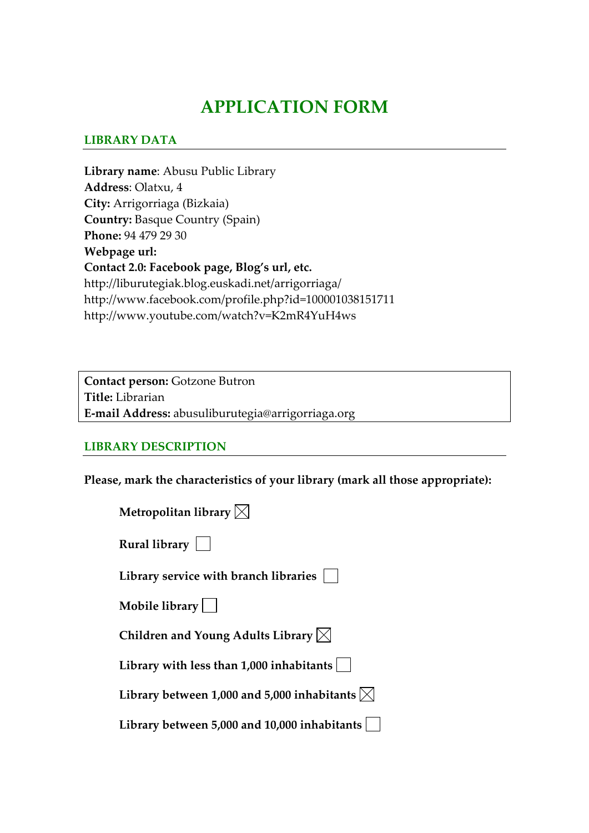# **APPLICATION FORM**

#### **LIBRARY DATA**

**Library name**: Abusu Public Library **Address**: Olatxu, 4 **City:** Arrigorriaga (Bizkaia) **Country:** Basque Country (Spain) **Phone:** 94 479 29 30 **Webpage url: Contact 2.0: Facebook page, Blog's url, etc.** http://liburutegiak.blog.euskadi.net/arrigorriaga/ http://www.facebook.com/profile.php?id=100001038151711 http://www.youtube.com/watch?v=K2mR4YuH4ws

**Contact person:** Gotzone Butron **Title:** Librarian **E‐mail Address:** abusuliburutegia@arrigorriaga.org

#### **LIBRARY DESCRIPTION**

**Please, mark the characteristics of your library (mark all those appropriate):**

| Metropolitan library $\boxtimes$                               |
|----------------------------------------------------------------|
| Rural library $\vert \ \vert$                                  |
| Library service with branch libraries                          |
| Mobile library $\vert$ $\vert$                                 |
| Children and Young Adults Library $\boxtimes$                  |
| Library with less than 1,000 inhabitants                       |
| Library between 1,000 and 5,000 inhabitants $\vert\angle\vert$ |
| Library between 5,000 and 10,000 inhabitants                   |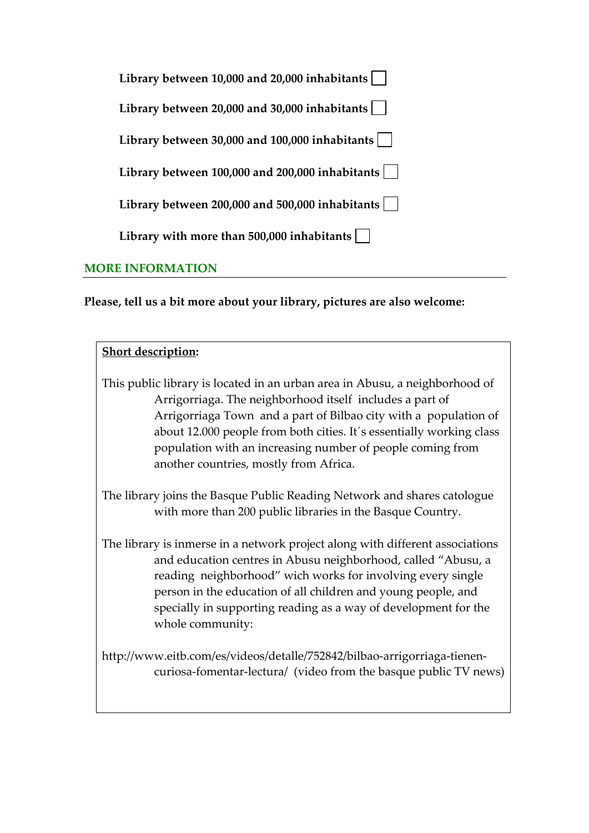| Library between 10,000 and 20,000 inhabitants            |
|----------------------------------------------------------|
| Library between 20,000 and 30,000 inhabitants            |
| Library between 30,000 and $100,000$ inhabitants $\vert$ |
| Library between 100,000 and 200,000 inhabitants          |
| Library between 200,000 and 500,000 inhabitants          |
| Library with more than 500,000 inhabitants               |
|                                                          |

# **MORE INFORMATION**

**Please, tell us a bit more about your library, pictures are also welcome:** 

| <b>Short description:</b>                                                                                                                                                                                                                                                                                                                                                                   |
|---------------------------------------------------------------------------------------------------------------------------------------------------------------------------------------------------------------------------------------------------------------------------------------------------------------------------------------------------------------------------------------------|
| This public library is located in an urban area in Abusu, a neighborhood of<br>Arrigorriaga. The neighborhood itself includes a part of<br>Arrigorriaga Town and a part of Bilbao city with a population of<br>about 12.000 people from both cities. It's essentially working class<br>population with an increasing number of people coming from<br>another countries, mostly from Africa. |
| The library joins the Basque Public Reading Network and shares catologue<br>with more than 200 public libraries in the Basque Country.                                                                                                                                                                                                                                                      |
| The library is inmerse in a network project along with different associations<br>and education centres in Abusu neighborhood, called "Abusu, a<br>reading neighborhood" wich works for involving every single<br>person in the education of all children and young people, and<br>specially in supporting reading as a way of development for the<br>whole community:                       |
| http://www.eitb.com/es/videos/detalle/752842/bilbao-arrigorriaga-tienen-<br>curiosa-fomentar-lectura/ (video from the basque public TV news)                                                                                                                                                                                                                                                |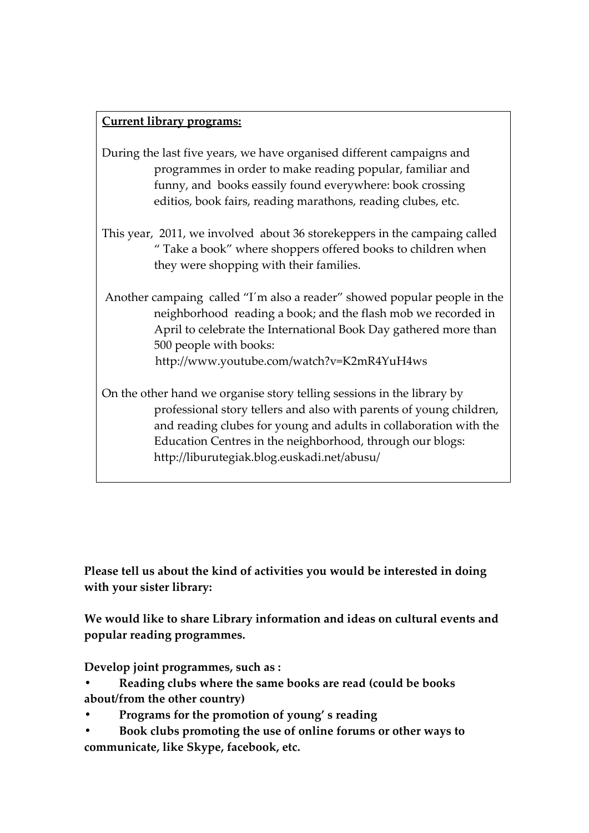### **Current library programs:**

- During the last five years, we have organised different campaigns and programmes in order to make reading popular, familiar and funny, and books eassily found everywhere: book crossing editios, book fairs, reading marathons, reading clubes, etc.
- This year, 2011, we involved about 36 storekeppers in the campaing called " Take a book" where shoppers offered books to children when they were shopping with their families.
- Another campaing called "I´m also a reader" showed popular people in the neighborhood reading a book; and the flash mob we recorded in April to celebrate the International Book Day gathered more than 500 people with books: http://www.youtube.com/watch?v=K2mR4YuH4ws

On the other hand we organise story telling sessions in the library by professional story tellers and also with parents of young children, and reading clubes for young and adults in collaboration with the Education Centres in the neighborhood, through our blogs: http://liburutegiak.blog.euskadi.net/abusu/

**Please tell us about the kind of activities you would be interested in doing with your sister library:**

**We would like to share Library information and ideas on cultural events and popular reading programmes.**

**Develop joint programmes, such as :**

- **• Reading clubs where the same books are read (could be books about/from the other country)**
- **• Programs for the promotion of young' s reading**
- **• Book clubs promoting the use of online forums or other ways to communicate, like Skype, facebook, etc.**